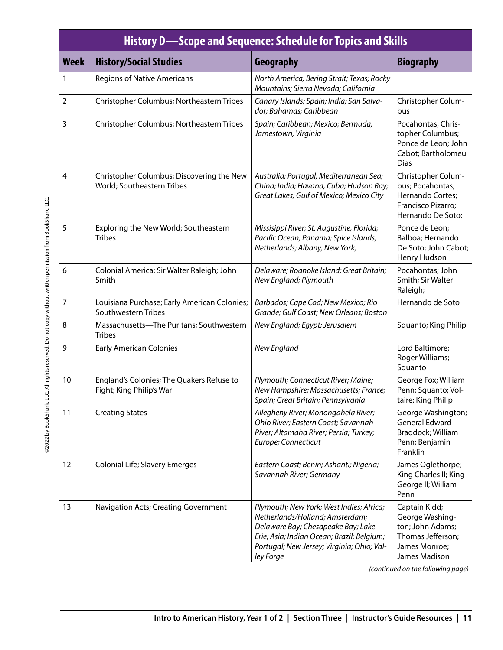|                | <b>History D-Scope and Sequence: Schedule for Topics and Skills</b>     |                                                                                                                                                                                                                            |                                                                                                             |  |  |  |
|----------------|-------------------------------------------------------------------------|----------------------------------------------------------------------------------------------------------------------------------------------------------------------------------------------------------------------------|-------------------------------------------------------------------------------------------------------------|--|--|--|
| <b>Week</b>    | <b>History/Social Studies</b>                                           | Geography                                                                                                                                                                                                                  | <b>Biography</b>                                                                                            |  |  |  |
| 1              | <b>Regions of Native Americans</b>                                      | North America; Bering Strait; Texas; Rocky<br>Mountains; Sierra Nevada; California                                                                                                                                         |                                                                                                             |  |  |  |
| $\overline{2}$ | Christopher Columbus; Northeastern Tribes                               | Canary Islands; Spain; India; San Salva-<br>dor; Bahamas; Caribbean                                                                                                                                                        | Christopher Colum-<br>bus                                                                                   |  |  |  |
| 3              | Christopher Columbus; Northeastern Tribes                               | Spain; Caribbean; Mexico; Bermuda;<br>Jamestown, Virginia                                                                                                                                                                  | Pocahontas; Chris-<br>topher Columbus;<br>Ponce de Leon; John<br>Cabot; Bartholomeu<br><b>Dias</b>          |  |  |  |
| $\overline{4}$ | Christopher Columbus; Discovering the New<br>World; Southeastern Tribes | Australia; Portugal; Mediterranean Sea;<br>China; India; Havana, Cuba; Hudson Bay;<br>Great Lakes; Gulf of Mexico; Mexico City                                                                                             | Christopher Colum-<br>bus; Pocahontas;<br>Hernando Cortes;<br>Francisco Pizarro;<br>Hernando De Soto;       |  |  |  |
| 5              | Exploring the New World; Southeastern<br><b>Tribes</b>                  | Missisippi River; St. Augustine, Florida;<br>Pacific Ocean; Panama; Spice Islands;<br>Netherlands; Albany, New York;                                                                                                       | Ponce de Leon;<br>Balboa; Hernando<br>De Soto; John Cabot;<br>Henry Hudson                                  |  |  |  |
| 6              | Colonial America; Sir Walter Raleigh; John<br>Smith                     | Delaware; Roanoke Island; Great Britain;<br>New England; Plymouth                                                                                                                                                          | Pocahontas; John<br>Smith; Sir Walter<br>Raleigh;                                                           |  |  |  |
| 7              | Louisiana Purchase; Early American Colonies;<br>Southwestern Tribes     | Barbados; Cape Cod; New Mexico; Rio<br>Grande; Gulf Coast; New Orleans; Boston                                                                                                                                             | Hernando de Soto                                                                                            |  |  |  |
| 8              | Massachusetts-The Puritans; Southwestern<br><b>Tribes</b>               | New England; Egypt; Jerusalem                                                                                                                                                                                              | Squanto; King Philip                                                                                        |  |  |  |
| 9              | <b>Early American Colonies</b>                                          | New England                                                                                                                                                                                                                | Lord Baltimore;<br>Roger Williams;<br>Squanto                                                               |  |  |  |
| 10             | England's Colonies; The Quakers Refuse to<br>Fight; King Philip's War   | Plymouth; Connecticut River; Maine;<br>New Hampshire; Massachusetts; France;<br>Spain; Great Britain; Pennsylvania                                                                                                         | George Fox; William<br>Penn; Squanto; Vol-<br>taire; King Philip                                            |  |  |  |
| 11             | <b>Creating States</b>                                                  | Allegheny River; Monongahela River;<br>Ohio River; Eastern Coast; Savannah<br>River; Altamaha River; Persia; Turkey;<br>Europe; Connecticut                                                                                | George Washington;<br><b>General Edward</b><br>Braddock; William<br>Penn; Benjamin<br>Franklin              |  |  |  |
| 12             | Colonial Life; Slavery Emerges                                          | Eastern Coast; Benin; Ashanti; Nigeria;<br>Savannah River; Germany                                                                                                                                                         | James Oglethorpe;<br>King Charles II; King<br>George II; William<br>Penn                                    |  |  |  |
| 13             | Navigation Acts; Creating Government                                    | Plymouth; New York; West Indies; Africa;<br>Netherlands/Holland; Amsterdam;<br>Delaware Bay; Chesapeake Bay; Lake<br>Erie; Asia; Indian Ocean; Brazil; Belgium;<br>Portugal; New Jersey; Virginia; Ohio; Val-<br>ley Forge | Captain Kidd;<br>George Washing-<br>ton; John Adams;<br>Thomas Jefferson;<br>James Monroe;<br>James Madison |  |  |  |

*(continued on the following page)*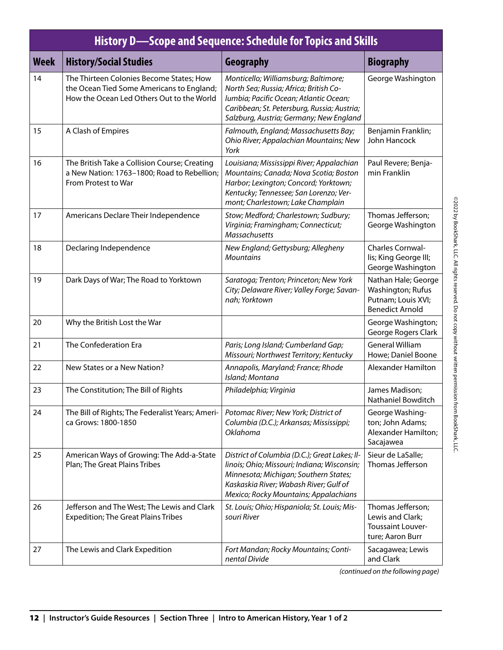| <b>History D-Scope and Sequence: Schedule for Topics and Skills</b> |                                                                                                                                    |                                                                                                                                                                                                                          |                                                                                          |  |  |
|---------------------------------------------------------------------|------------------------------------------------------------------------------------------------------------------------------------|--------------------------------------------------------------------------------------------------------------------------------------------------------------------------------------------------------------------------|------------------------------------------------------------------------------------------|--|--|
| <b>Week</b>                                                         | <b>History/Social Studies</b>                                                                                                      | Geography                                                                                                                                                                                                                | <b>Biography</b>                                                                         |  |  |
| 14                                                                  | The Thirteen Colonies Become States; How<br>the Ocean Tied Some Americans to England;<br>How the Ocean Led Others Out to the World | Monticello; Williamsburg; Baltimore;<br>North Sea; Russia; Africa; British Co-<br>lumbia; Pacific Ocean; Atlantic Ocean;<br>Caribbean; St. Petersburg, Russia; Austria;<br>Salzburg, Austria; Germany; New England       | George Washington                                                                        |  |  |
| 15                                                                  | A Clash of Empires                                                                                                                 | Falmouth, England; Massachusetts Bay;<br>Ohio River; Appalachian Mountains; New<br>York                                                                                                                                  | Benjamin Franklin;<br>John Hancock                                                       |  |  |
| 16                                                                  | The British Take a Collision Course; Creating<br>a New Nation: 1763-1800; Road to Rebellion;<br>From Protest to War                | Louisiana; Mississippi River; Appalachian<br>Mountains; Canada; Nova Scotia; Boston<br>Harbor; Lexington; Concord; Yorktown;<br>Kentucky; Tennessee; San Lorenzo; Ver-<br>mont; Charlestown; Lake Champlain              | Paul Revere; Benja-<br>min Franklin                                                      |  |  |
| 17                                                                  | Americans Declare Their Independence                                                                                               | Stow; Medford; Charlestown; Sudbury;<br>Virginia; Framingham; Connecticut;<br><b>Massachusetts</b>                                                                                                                       | Thomas Jefferson;<br>George Washington                                                   |  |  |
| 18                                                                  | Declaring Independence                                                                                                             | New England; Gettysburg; Allegheny<br><b>Mountains</b>                                                                                                                                                                   | Charles Cornwal-<br>lis; King George III;<br>George Washington                           |  |  |
| 19                                                                  | Dark Days of War; The Road to Yorktown                                                                                             | Saratoga; Trenton; Princeton; New York<br>City; Delaware River; Valley Forge; Savan-<br>nah; Yorktown                                                                                                                    | Nathan Hale; George<br>Washington; Rufus<br>Putnam; Louis XVI;<br><b>Benedict Arnold</b> |  |  |
| 20                                                                  | Why the British Lost the War                                                                                                       |                                                                                                                                                                                                                          | George Washington;<br>George Rogers Clark                                                |  |  |
| 21                                                                  | The Confederation Era                                                                                                              | Paris; Long Island; Cumberland Gap;<br>Missouri; Northwest Territory; Kentucky                                                                                                                                           | <b>General William</b><br>Howe; Daniel Boone                                             |  |  |
| 22                                                                  | New States or a New Nation?                                                                                                        | Annapolis, Maryland; France; Rhode<br>Island; Montana                                                                                                                                                                    | Alexander Hamilton                                                                       |  |  |
| 23                                                                  | The Constitution; The Bill of Rights                                                                                               | Philadelphia; Virginia                                                                                                                                                                                                   | James Madison;<br>Nathaniel Bowditch                                                     |  |  |
| 24                                                                  | The Bill of Rights; The Federalist Years; Ameri-<br>ca Grows: 1800-1850                                                            | Potomac River; New York; District of<br>Columbia (D.C.); Arkansas; Mississippi;<br>Oklahoma                                                                                                                              | George Washing-<br>ton; John Adams;<br>Alexander Hamilton;<br>Sacajawea                  |  |  |
| 25                                                                  | American Ways of Growing: The Add-a-State<br>Plan; The Great Plains Tribes                                                         | District of Columbia (D.C.); Great Lakes; Il-<br>linois; Ohio; Missouri; Indiana; Wisconsin;<br>Minnesota; Michigan; Southern States;<br>Kaskaskia River; Wabash River; Gulf of<br>Mexico; Rocky Mountains; Appalachians | Sieur de LaSalle;<br>Thomas Jefferson                                                    |  |  |
| 26                                                                  | Jefferson and The West; The Lewis and Clark<br><b>Expedition; The Great Plains Tribes</b>                                          | St. Louis; Ohio; Hispaniola; St. Louis; Mis-<br>souri River                                                                                                                                                              | Thomas Jefferson;<br>Lewis and Clark;<br><b>Toussaint Louver-</b><br>ture; Aaron Burr    |  |  |
| 27                                                                  | The Lewis and Clark Expedition                                                                                                     | Fort Mandan; Rocky Mountains; Conti-<br>nental Divide                                                                                                                                                                    | Sacagawea; Lewis<br>and Clark                                                            |  |  |

@2022 by BookShark, LLC. All rights reserved. Do not copy without written permission from BookShark, LLC. ©2022 by BookShark, LLC. All rights reserved. Do not copy without written permission from BookShark, LLC.

*(continued on the following page)*